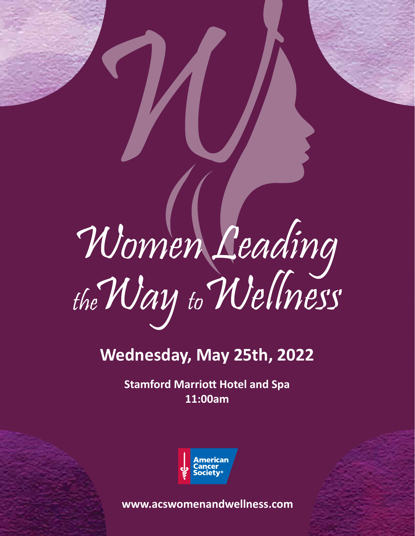# Women Leading<br>the Way to Wellness

# **Wednesday, May 25th, 2022**

**Stamford Marriott Hotel and Spa 11:00am**



**www.acswomenandwellness.com**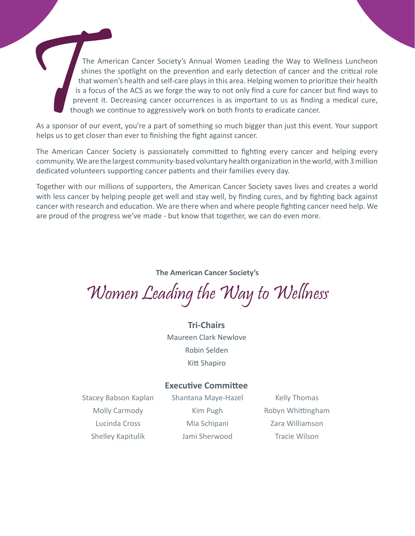The American Cancer Society's Annual Women Leading the Way to Wellness Luncheon shines the spotlight on the prevention and early detection of cancer and the critical role that women's health and self-care plays in this area. Helping women to prioritize their health is a focus of the ACS as we forge the way to not only find a cure for cancer but find ways to prevent it. Decreasing cancer occurrences is as important to us as finding a medical cure, though we continue to aggressively work on both fronts to eradicate cancer.

As a sponsor of our event, you're a part of something so much bigger than just this event. Your support helps us to get closer than ever to finishing the fight against cancer.

The American Cancer Society is passionately committed to fighting every cancer and helping every community. We are the largest community-based voluntary health organization in the world, with 3 million dedicated volunteers supporting cancer patients and their families every day.

Together with our millions of supporters, the American Cancer Society saves lives and creates a world with less cancer by helping people get well and stay well, by finding cures, and by fighting back against cancer with research and education. We are there when and where people fighting cancer need help. We are proud of the progress we've made - but know that together, we can do even more.

#### **The American Cancer Society's**

Women Leading the Way to Wellness

#### **Tri-Chairs**

Maureen Clark Newlove Robin Selden Kitt Shapiro

#### **Executive Committee**

Stacey Babson Kaplan Molly Carmody Lucinda Cross Shelley Kapitulik

Shantana Maye-Hazel Kim Pugh Mia Schipani Jami Sherwood

Kelly Thomas Robyn Whittingham Zara Williamson Tracie Wilson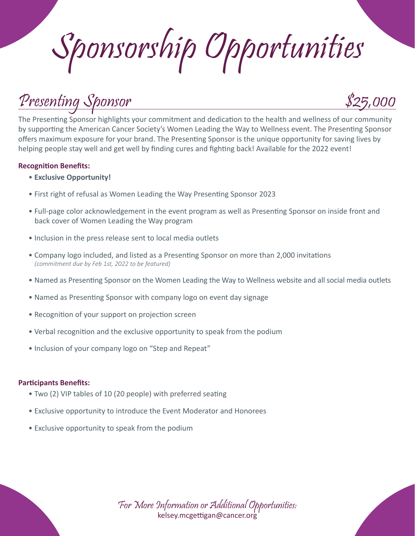Sponsorship Opportunities

# Presenting Sponsor \$25,000



The Presenting Sponsor highlights your commitment and dedication to the health and wellness of our community by supporting the American Cancer Society's Women Leading the Way to Wellness event. The Presenting Sponsor offers maximum exposure for your brand. The Presenting Sponsor is the unique opportunity for saving lives by helping people stay well and get well by finding cures and fighting back! Available for the 2022 event!

#### **Recognition Benefits:**

- **Exclusive Opportunity!**
- First right of refusal as Women Leading the Way Presenting Sponsor 2023
- Full-page color acknowledgement in the event program as well as Presenting Sponsor on inside front and back cover of Women Leading the Way program
- Inclusion in the press release sent to local media outlets
- Company logo included, and listed as a Presenting Sponsor on more than 2,000 invitations *(commitment due by Feb 1st, 2022 to be featured)*
- Named as Presenting Sponsor on the Women Leading the Way to Wellness website and all social media outlets
- Named as Presenting Sponsor with company logo on event day signage
- Recognition of your support on projection screen
- Verbal recognition and the exclusive opportunity to speak from the podium
- Inclusion of your company logo on "Step and Repeat"

#### **Participants Benefits:**

- Two (2) VIP tables of 10 (20 people) with preferred seating
- Exclusive opportunity to introduce the Event Moderator and Honorees
- Exclusive opportunity to speak from the podium

For More Information or Additional Opportunities: kelsey.mcgettigan@cancer.org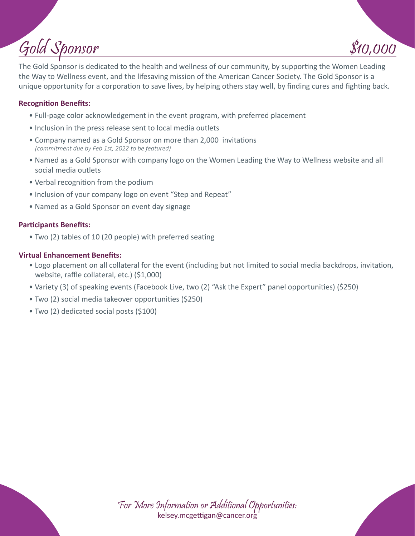# $Gold Sponsor$  \$10,000

The Gold Sponsor is dedicated to the health and wellness of our community, by supporting the Women Leading the Way to Wellness event, and the lifesaving mission of the American Cancer Society. The Gold Sponsor is a unique opportunity for a corporation to save lives, by helping others stay well, by finding cures and fighting back.

#### **Recognition Benefits:**

- Full-page color acknowledgement in the event program, with preferred placement
- Inclusion in the press release sent to local media outlets
- Company named as a Gold Sponsor on more than 2,000 invitations *(commitment due by Feb 1st, 2022 to be featured)*
- Named as a Gold Sponsor with company logo on the Women Leading the Way to Wellness website and all social media outlets
- Verbal recognition from the podium
- Inclusion of your company logo on event "Step and Repeat"
- Named as a Gold Sponsor on event day signage

#### **Participants Benefits:**

• Two (2) tables of 10 (20 people) with preferred seating

#### **Virtual Enhancement Benefits:**

- Logo placement on all collateral for the event (including but not limited to social media backdrops, invitation, website, raffle collateral, etc.) (\$1,000)
- Variety (3) of speaking events (Facebook Live, two (2) "Ask the Expert" panel opportunities) (\$250)
- Two (2) social media takeover opportunities (\$250)
- Two (2) dedicated social posts (\$100)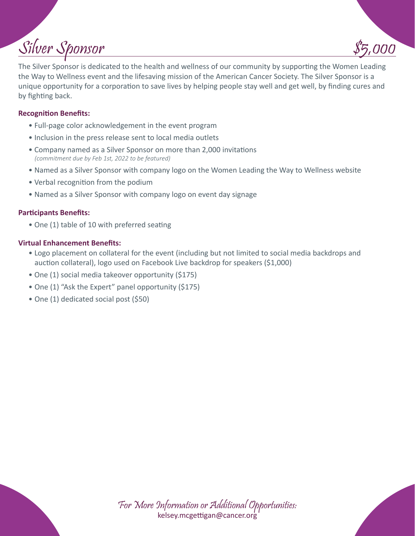# Silver Sponsor

The Silver Sponsor is dedicated to the health and wellness of our community by supporting the Women Leading the Way to Wellness event and the lifesaving mission of the American Cancer Society. The Silver Sponsor is a unique opportunity for a corporation to save lives by helping people stay well and get well, by finding cures and by fighting back.

#### **Recognition Benefits:**

- Full-page color acknowledgement in the event program
- Inclusion in the press release sent to local media outlets
- Company named as a Silver Sponsor on more than 2,000 invitations *(commitment due by Feb 1st, 2022 to be featured)*
- Named as a Silver Sponsor with company logo on the Women Leading the Way to Wellness website
- Verbal recognition from the podium
- Named as a Silver Sponsor with company logo on event day signage

#### **Participants Benefits:**

• One (1) table of 10 with preferred seating

#### **Virtual Enhancement Benefits:**

- Logo placement on collateral for the event (including but not limited to social media backdrops and auction collateral), logo used on Facebook Live backdrop for speakers (\$1,000)
- One (1) social media takeover opportunity (\$175)
- One (1) "Ask the Expert" panel opportunity (\$175)
- One (1) dedicated social post (\$50)

For More Information or Additional Opportunities: kelsey.mcgettigan@cancer.org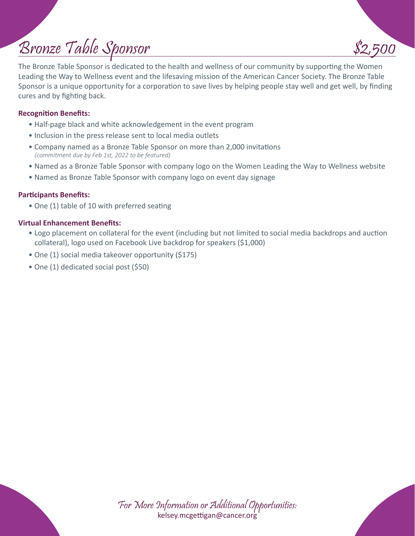# Bronze Table Sponsor

The Bronze Table Sponsor is dedicated to the health and wellness of our community by supporting the Women Leading the Way to Wellness event and the lifesaving mission of the American Cancer Society. The Bronze Table Sponsor is a unique opportunity for a corporation to save lives by helping people stay well and get well, by finding cures and by fighting back.

#### **Recognition Benefits:**

- Half-page black and white acknowledgement in the event program
- Inclusion in the press release sent to local media outlets
- Company named as a Bronze Table Sponsor on more than 2,000 invitations *(commitment due by Feb 1st, 2022 to be featured)*
- Named as a Bronze Table Sponsor with company logo on the Women Leading the Way to Wellness website
- Named as Bronze Table Sponsor with company logo on event day signage

#### **Participants Benefits:**

• One (1) table of 10 with preferred seating

#### **Virtual Enhancement Benefits:**

- Logo placement on collateral for the event (including but not limited to social media backdrops and auction collateral), logo used on Facebook Live backdrop for speakers (\$1,000)
- One (1) social media takeover opportunity (\$175)
- One (1) dedicated social post (\$50)

For More Information or Additional Opportunities: kelsey.mcgettigan@cancer.org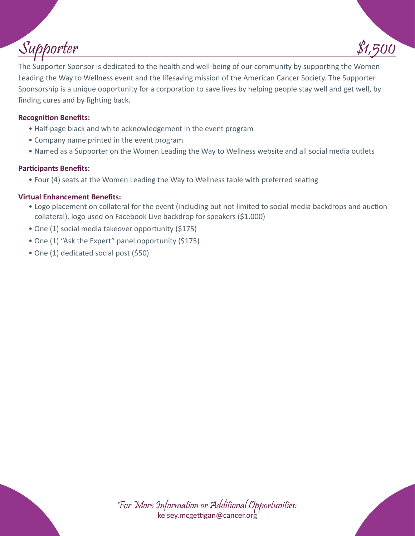# Supporter

The Supporter Sponsor is dedicated to the health and well-being of our community by supporting the Women Leading the Way to Wellness event and the lifesaving mission of the American Cancer Society. The Supporter Sponsorship is a unique opportunity for a corporation to save lives by helping people stay well and get well, by finding cures and by fighting back.

#### **Recognition Benefits:**

- Half-page black and white acknowledgement in the event program
- Company name printed in the event program
- Named as a Supporter on the Women Leading the Way to Wellness website and all social media outlets

#### **Participants Benefits:**

• Four (4) seats at the Women Leading the Way to Wellness table with preferred seating

#### **Virtual Enhancement Benefits:**

- Logo placement on collateral for the event (including but not limited to social media backdrops and auction collateral), logo used on Facebook Live backdrop for speakers (\$1,000)
- One (1) social media takeover opportunity (\$175)
- One (1) "Ask the Expert" panel opportunity (\$175)
- One (1) dedicated social post (\$50)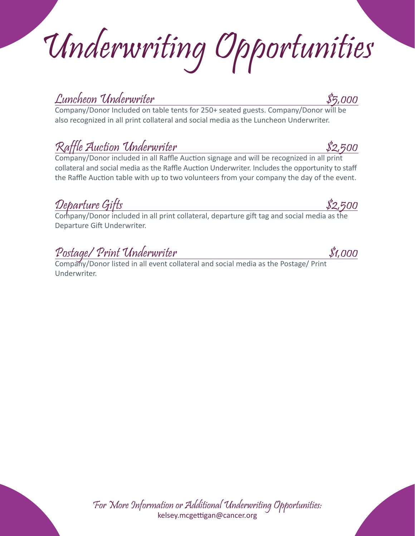Underwriting Opportunities

Company/Donor Included on table tents for 250+ seated guests. Company/Donor will be also recognized in all print collateral and social media as the Luncheon Underwriter.

## Raffle Auction Underwriter \$2,500

Company/Donor included in all Raffle Auction signage and will be recognized in all print collateral and social media as the Raffle Auction Underwriter. Includes the opportunity to staff the Raffle Auction table with up to two volunteers from your company the day of the event.

Departure Gifts \$2,500

Company/Donor included in all print collateral, departure gift tag and social media as the Departure Gift Underwriter.

For More Information or Additional Underwriting Opportunities: kelsey.mcgettigan@cancer.org

## Postage/ Print Underwriter \$1,000

Company/Donor listed in all event collateral and social media as the Postage/ Print Underwriter.

Luncheon Underwriter \$5,000

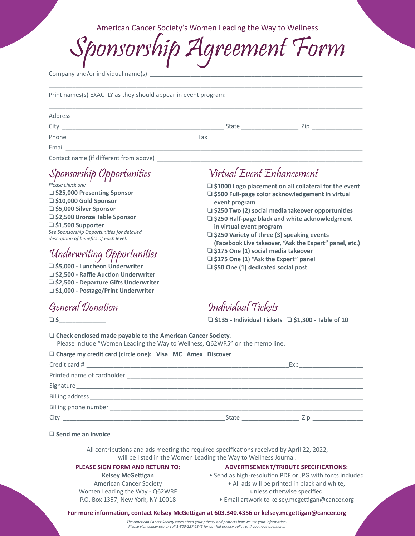American Cancer Society's Women Leading the Way to Wellness

greement Form

 $\Box$ 

Company and/or individual name(s):

Print names(s) EXACTLY as they should appear in event program:

| Address |       |     |  |
|---------|-------|-----|--|
| City    | State | 7in |  |
| Phone   | Fax   |     |  |
| Email   |       |     |  |
|         |       |     |  |

Contact name (if different from above)

Sponsorship Opportunities

*Please check one* ❏ **\$25,000 Presenting Sponsor** ❏ **\$10,000 Gold Sponsor** ❏ **\$5,000 Silver Sponsor** ❏ **\$2,500 Bronze Table Sponsor** ❏ **\$1,500 Supporter** *See Sponsorship Opportunities for detailed description of benefits of each level.*

## Underwriting Opportunities

❏ **\$5,000 - Luncheon Underwriter** ❏ **\$2,500 - Raffle Auction Underwriter** ❏ **\$2,500 - Departure Gifts Underwriter** ❏ **\$1,000 - Postage/Print Underwriter**

> Women Leading the Way - Q62WRF P.O. Box 1357, New York, NY 10018

### General Donation

## Virtual Event Enhancement

❏ **\$1000 Logo placement on all collateral for the event**

- ❏ **\$500 Full-page color acknowledgement in virtual event program**
- ❏ **\$250 Two (2) social media takeover opportunities**
- ❏ **\$250 Half-page black and white acknowledgment in virtual event program**
- ❏ **\$250 Variety of three (3) speaking events (Facebook Live takeover, "Ask the Expert" panel, etc.)**
- ❏ **\$175 One (1) social media takeover**
- ❏ **\$175 One (1) "Ask the Expert" panel**
- ❏ **\$50 One (1) dedicated social post**

Individual Tickets

❏ **\$135 - Individual Tickets** ❏ **\$1,300 - Table of 10**

| $\Box$ Check enclosed made payable to the American Cancer Society.<br>Please include "Women Leading the Way to Wellness, Q62WR5" on the memo line.            |                                                                                                                                                           |                                                                                                                |  |  |
|---------------------------------------------------------------------------------------------------------------------------------------------------------------|-----------------------------------------------------------------------------------------------------------------------------------------------------------|----------------------------------------------------------------------------------------------------------------|--|--|
| □ Charge my credit card (circle one): Visa MC Amex Discover                                                                                                   |                                                                                                                                                           |                                                                                                                |  |  |
|                                                                                                                                                               |                                                                                                                                                           | Experience and the second service of the service of the series of the series of the series of the series of th |  |  |
|                                                                                                                                                               |                                                                                                                                                           |                                                                                                                |  |  |
|                                                                                                                                                               |                                                                                                                                                           |                                                                                                                |  |  |
|                                                                                                                                                               |                                                                                                                                                           |                                                                                                                |  |  |
|                                                                                                                                                               |                                                                                                                                                           |                                                                                                                |  |  |
|                                                                                                                                                               |                                                                                                                                                           |                                                                                                                |  |  |
| $\Box$ Send me an invoice                                                                                                                                     |                                                                                                                                                           |                                                                                                                |  |  |
| All contributions and ads meeting the required specifications received by April 22, 2022,<br>will be listed in the Women Leading the Way to Wellness Journal. |                                                                                                                                                           |                                                                                                                |  |  |
| PLEASE SIGN FORM AND RETURN TO:<br><b>Kelsey McGettigan</b><br><b>American Cancer Society</b>                                                                 | <b>ADVERTISEMENT/TRIBUTE SPECIFICATIONS:</b><br>• Send as high-resolution PDF or JPG with fonts included<br>• All ads will be printed in black and white, |                                                                                                                |  |  |

- unless otherwise specified
- Email artwork to kelsey.mcgettigan@cancer.org

#### **For more information, contact Kelsey McGettigan at 603.340.4356 or kelsey.mcgettigan@cancer.org**

*The American Cancer Society cares about your privacy and protects how we use your information. Please visit cancer.org or call 1-800-227-2345 for our full privacy policy or if you have questions.*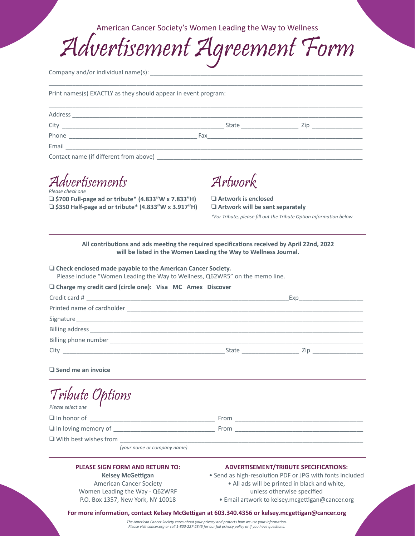American Cancer Society's Women Leading the Way to Wellness

Advertisement Agreement Form

 $\Box$ 

Company and/or individual name(s):

Print names(s) EXACTLY as they should appear in event program:

| Address                                |     |              |     |  |
|----------------------------------------|-----|--------------|-----|--|
| City                                   |     | <b>State</b> | 7in |  |
| Phone                                  | Fax |              |     |  |
| Email                                  |     |              |     |  |
| Contact name lif different from above) |     |              |     |  |

Contact name (if different from above)

Advertisements *Please check one*

❏ **\$700 Full-page ad or tribute\* (4.833"W x 7.833"H)** ❏ **\$350 Half-page ad or tribute\* (4.833"W x 3.917"H)**

Artwork

❏ **Artwork is enclosed** ❏ **Artwork will be sent separately** *\*For Tribute, please fill out the Tribute Option Information below*

**All contributions and ads meeting the required specifications received by April 22nd, 2022 will be listed in the Women Leading the Way to Wellness Journal.**

| $\Box$ Check enclosed made payable to the American Cancer Society.<br>Please include "Women Leading the Way to Wellness, Q62WR5" on the memo line.                                                                             |                                                                                                                                                                                                                                            |  |  |  |  |  |  |
|--------------------------------------------------------------------------------------------------------------------------------------------------------------------------------------------------------------------------------|--------------------------------------------------------------------------------------------------------------------------------------------------------------------------------------------------------------------------------------------|--|--|--|--|--|--|
| O Charge my credit card (circle one): Visa MC Amex Discover                                                                                                                                                                    |                                                                                                                                                                                                                                            |  |  |  |  |  |  |
|                                                                                                                                                                                                                                |                                                                                                                                                                                                                                            |  |  |  |  |  |  |
|                                                                                                                                                                                                                                |                                                                                                                                                                                                                                            |  |  |  |  |  |  |
| Signature experience and the state of the state of the state of the state of the state of the state of the state of the state of the state of the state of the state of the state of the state of the state of the state of th |                                                                                                                                                                                                                                            |  |  |  |  |  |  |
|                                                                                                                                                                                                                                |                                                                                                                                                                                                                                            |  |  |  |  |  |  |
|                                                                                                                                                                                                                                |                                                                                                                                                                                                                                            |  |  |  |  |  |  |
|                                                                                                                                                                                                                                |                                                                                                                                                                                                                                            |  |  |  |  |  |  |
| $\Box$ Send me an invoice                                                                                                                                                                                                      |                                                                                                                                                                                                                                            |  |  |  |  |  |  |
| Tribute Options<br>Please select one                                                                                                                                                                                           |                                                                                                                                                                                                                                            |  |  |  |  |  |  |
|                                                                                                                                                                                                                                |                                                                                                                                                                                                                                            |  |  |  |  |  |  |
|                                                                                                                                                                                                                                |                                                                                                                                                                                                                                            |  |  |  |  |  |  |
|                                                                                                                                                                                                                                |                                                                                                                                                                                                                                            |  |  |  |  |  |  |
| (your name or company name)                                                                                                                                                                                                    |                                                                                                                                                                                                                                            |  |  |  |  |  |  |
| <b>PLEASE SIGN FORM AND RETURN TO:</b><br><b>Kelsey McGettigan</b><br><b>American Cancer Society</b><br>Women Leading the Way - Q62WRF<br>P.O. Box 1357, New York, NY 10018                                                    | <b>ADVERTISEMENT/TRIBUTE SPECIFICATIONS:</b><br>• Send as high-resolution PDF or JPG with fonts included<br>. All ads will be printed in black and white,<br>unless otherwise specified<br>· Email artwork to kelsey.mcgettigan@cancer.org |  |  |  |  |  |  |
| For more information, contact Kelsey McGettigan at 603.340.4356 or kelsey.mcgettigan@cancer.org                                                                                                                                |                                                                                                                                                                                                                                            |  |  |  |  |  |  |

*The American Cancer Society cares about your privacy and protects how we use your information. Please visit cancer.org or call 1-800-227-2345 for our full privacy policy or if you have questions.*